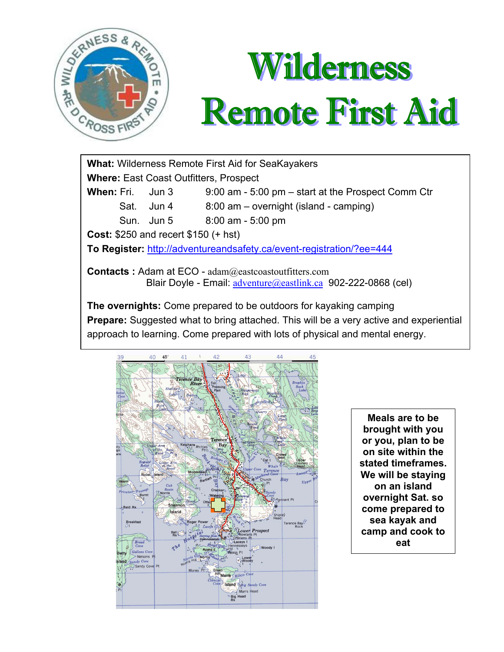

# Wilderness **Remote First Aid**

**What:** Wilderness Remote First Aid for SeaKayakers **Where:** East Coast Outfitters, Prospect **When:** Fri. Jun 3 9:00 am - 5:00 pm – start at the Prospect Comm Ctr Sat. Jun 4 8:00 am – overnight (island - camping) Sun. Jun 5 8:00 am - 5:00 pm **Cost:** \$250 and recert \$150 (+ hst) **To Register:** http://adventureandsafety.ca/event-registration/?ee=444 **Contacts :** Adam at ECO - adam@eastcoastoutfitters.com Blair Doyle - Email: adventure @eastlink.ca 902-222-0868 (cel) **The overnights:** Come prepared to be outdoors for kayaking camping

**Prepare:** Suggested what to bring attached. This will be a very active and experiential approach to learning. Come prepared with lots of physical and mental energy.



**Meals are to be brought with you or you, plan to be on site within the stated timeframes. We will be staying on an island overnight Sat. so come prepared to sea kayak and camp and cook to eat**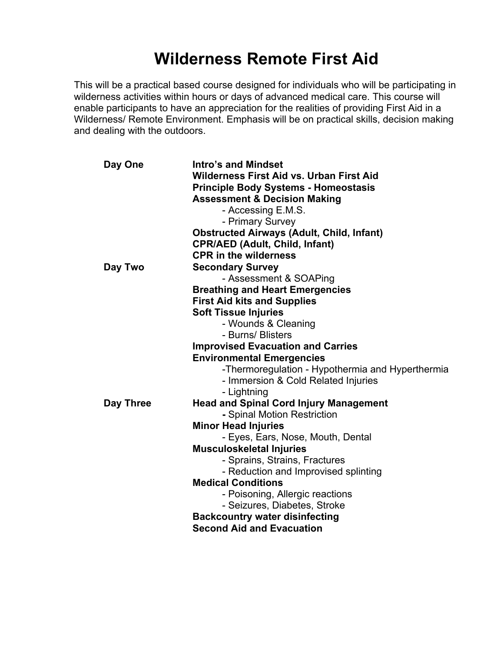# **Wilderness Remote First Aid**

This will be a practical based course designed for individuals who will be participating in wilderness activities within hours or days of advanced medical care. This course will enable participants to have an appreciation for the realities of providing First Aid in a Wilderness/ Remote Environment. Emphasis will be on practical skills, decision making and dealing with the outdoors.

| Day One   | <b>Intro's and Mindset</b><br><b>Wilderness First Aid vs. Urban First Aid</b><br><b>Principle Body Systems - Homeostasis</b> |
|-----------|------------------------------------------------------------------------------------------------------------------------------|
|           | <b>Assessment &amp; Decision Making</b>                                                                                      |
|           | - Accessing E.M.S.                                                                                                           |
|           | - Primary Survey                                                                                                             |
|           | <b>Obstructed Airways (Adult, Child, Infant)</b>                                                                             |
|           | <b>CPR/AED (Adult, Child, Infant)</b>                                                                                        |
|           | <b>CPR in the wilderness</b>                                                                                                 |
| Day Two   | <b>Secondary Survey</b>                                                                                                      |
|           | - Assessment & SOAPing                                                                                                       |
|           | <b>Breathing and Heart Emergencies</b>                                                                                       |
|           | <b>First Aid kits and Supplies</b>                                                                                           |
|           | <b>Soft Tissue Injuries</b>                                                                                                  |
|           | - Wounds & Cleaning                                                                                                          |
|           | - Burns/ Blisters                                                                                                            |
|           | <b>Improvised Evacuation and Carries</b>                                                                                     |
|           | <b>Environmental Emergencies</b>                                                                                             |
|           | -Thermoregulation - Hypothermia and Hyperthermia                                                                             |
|           | - Immersion & Cold Related Injuries                                                                                          |
|           | - Lightning                                                                                                                  |
| Day Three | <b>Head and Spinal Cord Injury Management</b>                                                                                |
|           | - Spinal Motion Restriction                                                                                                  |
|           | <b>Minor Head Injuries</b>                                                                                                   |
|           | - Eyes, Ears, Nose, Mouth, Dental                                                                                            |
|           | <b>Musculoskeletal Injuries</b>                                                                                              |
|           | - Sprains, Strains, Fractures                                                                                                |
|           | - Reduction and Improvised splinting                                                                                         |
|           | <b>Medical Conditions</b>                                                                                                    |
|           | - Poisoning, Allergic reactions                                                                                              |
|           | - Seizures, Diabetes, Stroke                                                                                                 |
|           | <b>Backcountry water disinfecting</b>                                                                                        |
|           | <b>Second Aid and Evacuation</b>                                                                                             |